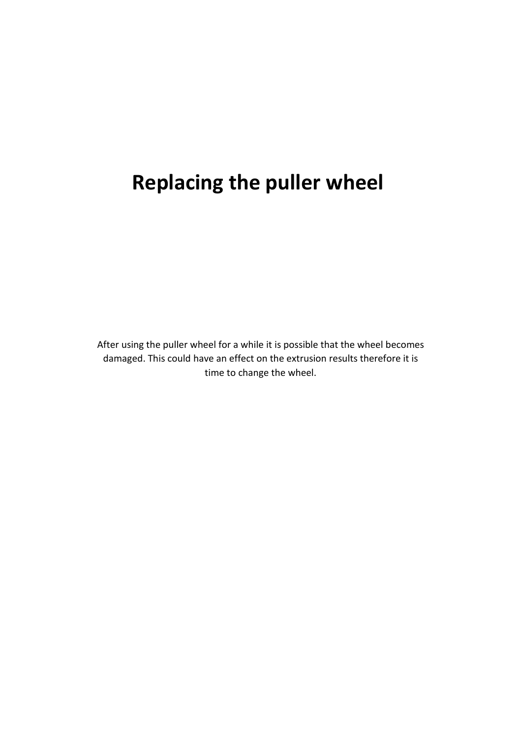## **Replacing the puller wheel**

After using the puller wheel for a while it is possible that the wheel becomes damaged. This could have an effect on the extrusion results therefore it is time to change the wheel.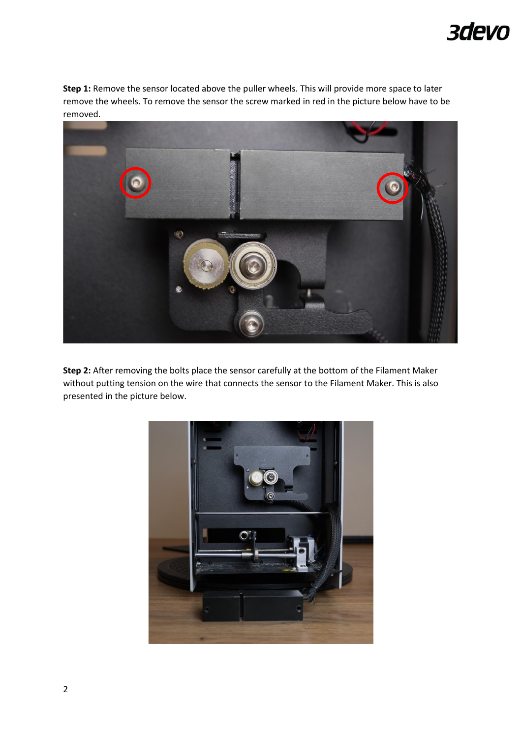## 3devo

**Step 1:** Remove the sensor located above the puller wheels. This will provide more space to later remove the wheels. To remove the sensor the screw marked in red in the picture below have to be removed.



**Step 2:** After removing the bolts place the sensor carefully at the bottom of the Filament Maker without putting tension on the wire that connects the sensor to the Filament Maker. This is also presented in the picture below.

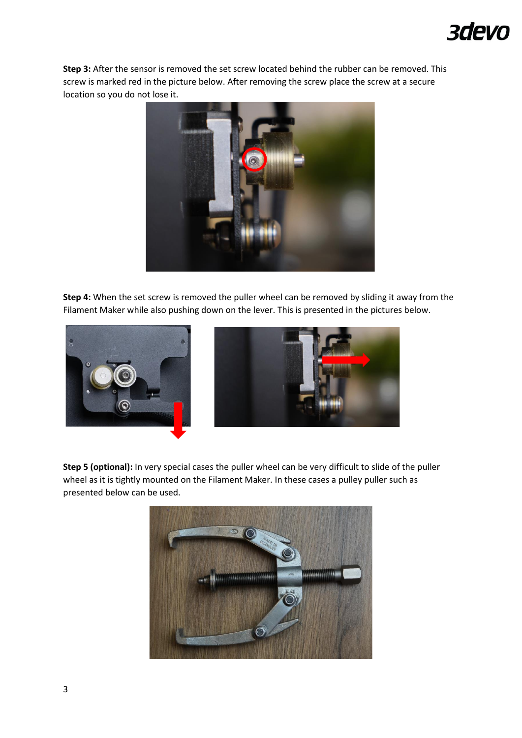## 3devo

**Step 3:** After the sensor is removed the set screw located behind the rubber can be removed. This screw is marked red in the picture below. After removing the screw place the screw at a secure location so you do not lose it.



**Step 4:** When the set screw is removed the puller wheel can be removed by sliding it away from the Filament Maker while also pushing down on the lever. This is presented in the pictures below.





**Step 5 (optional):** In very special cases the puller wheel can be very difficult to slide of the puller wheel as it is tightly mounted on the Filament Maker. In these cases a pulley puller such as presented below can be used.